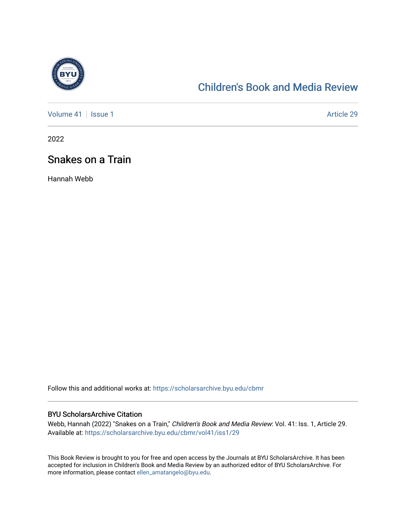

## [Children's Book and Media Review](https://scholarsarchive.byu.edu/cbmr)

[Volume 41](https://scholarsarchive.byu.edu/cbmr/vol41) | [Issue 1](https://scholarsarchive.byu.edu/cbmr/vol41/iss1) Article 29

2022

## Snakes on a Train

Hannah Webb

Follow this and additional works at: [https://scholarsarchive.byu.edu/cbmr](https://scholarsarchive.byu.edu/cbmr?utm_source=scholarsarchive.byu.edu%2Fcbmr%2Fvol41%2Fiss1%2F29&utm_medium=PDF&utm_campaign=PDFCoverPages) 

#### BYU ScholarsArchive Citation

Webb, Hannah (2022) "Snakes on a Train," Children's Book and Media Review: Vol. 41: Iss. 1, Article 29. Available at: [https://scholarsarchive.byu.edu/cbmr/vol41/iss1/29](https://scholarsarchive.byu.edu/cbmr/vol41/iss1/29?utm_source=scholarsarchive.byu.edu%2Fcbmr%2Fvol41%2Fiss1%2F29&utm_medium=PDF&utm_campaign=PDFCoverPages)

This Book Review is brought to you for free and open access by the Journals at BYU ScholarsArchive. It has been accepted for inclusion in Children's Book and Media Review by an authorized editor of BYU ScholarsArchive. For more information, please contact [ellen\\_amatangelo@byu.edu.](mailto:ellen_amatangelo@byu.edu)